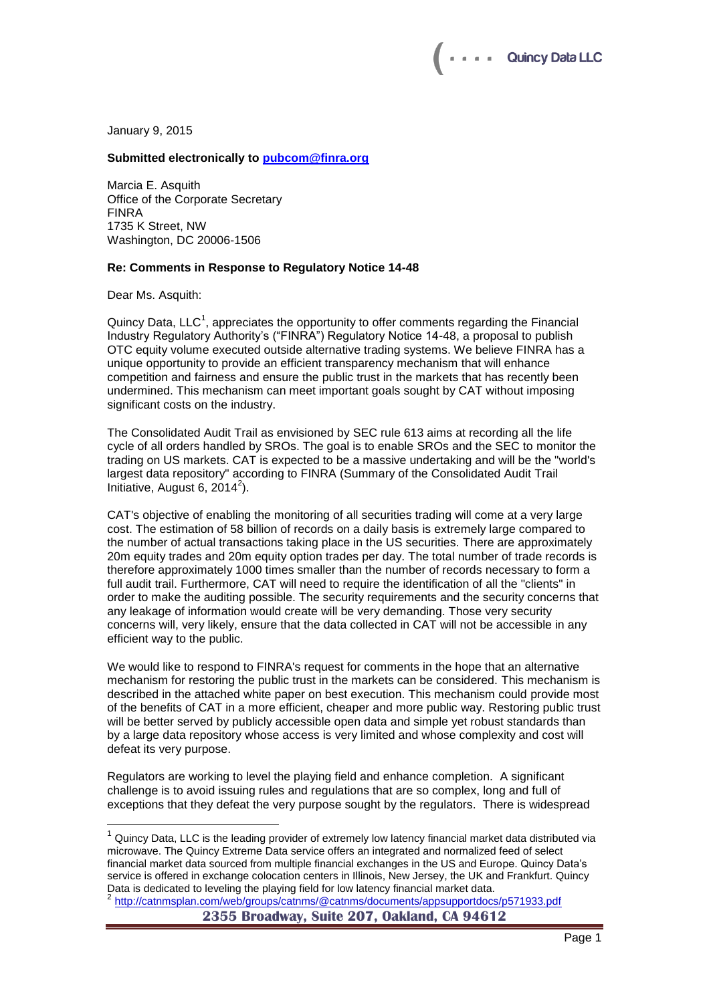January 9, 2015

#### **Submitted electronically to [pubcom@finra.org](mailto:pubcom@finra.org)**

Marcia E. Asquith Office of the Corporate Secretary FINRA 1735 K Street, NW Washington, DC 20006-1506

#### **Re: Comments in Response to Regulatory Notice 14-48**

Dear Ms. Asquith:

Quincy Data, LLC<sup>1</sup>, appreciates the opportunity to offer comments regarding the Financial Industry Regulatory Authority's ("FINRA") Regulatory Notice 14-48, a proposal to publish OTC equity volume executed outside alternative trading systems. We believe FINRA has a unique opportunity to provide an efficient transparency mechanism that will enhance competition and fairness and ensure the public trust in the markets that has recently been undermined. This mechanism can meet important goals sought by CAT without imposing significant costs on the industry.

The Consolidated Audit Trail as envisioned by SEC rule 613 aims at recording all the life cycle of all orders handled by SROs. The goal is to enable SROs and the SEC to monitor the trading on US markets. CAT is expected to be a massive undertaking and will be the "world's largest data repository" according to FINRA (Summary of the Consolidated Audit Trail Initiative, August 6, 2014 $^2$ ).

CAT's objective of enabling the monitoring of all securities trading will come at a very large cost. The estimation of 58 billion of records on a daily basis is extremely large compared to the number of actual transactions taking place in the US securities. There are approximately 20m equity trades and 20m equity option trades per day. The total number of trade records is therefore approximately 1000 times smaller than the number of records necessary to form a full audit trail. Furthermore, CAT will need to require the identification of all the "clients" in order to make the auditing possible. The security requirements and the security concerns that any leakage of information would create will be very demanding. Those very security concerns will, very likely, ensure that the data collected in CAT will not be accessible in any efficient way to the public.

We would like to respond to FINRA's request for comments in the hope that an alternative mechanism for restoring the public trust in the markets can be considered. This mechanism is described in the attached white paper on best execution. This mechanism could provide most of the benefits of CAT in a more efficient, cheaper and more public way. Restoring public trust will be better served by publicly accessible open data and simple yet robust standards than by a large data repository whose access is very limited and whose complexity and cost will defeat its very purpose.

Regulators are working to level the playing field and enhance completion. A significant challenge is to avoid issuing rules and regulations that are so complex, long and full of exceptions that they defeat the very purpose sought by the regulators. There is widespread

 $1$  Quincy Data, LLC is the leading provider of extremely low latency financial market data distributed via microwave. The Quincy Extreme Data service offers an integrated and normalized feed of select financial market data sourced from multiple financial exchanges in the US and Europe. Quincy Data's service is offered in exchange colocation centers in Illinois, New Jersey, the UK and Frankfurt. Quincy Data is dedicated to leveling the playing field for low latency financial market data.<br><sup>2</sup> http://estamenlap.com/ush/groups/estame/@estame/desuments/appeuppertdes

**<sup>2355</sup> Broadway, Suite 207, Oakland, CA 94612** <http://catnmsplan.com/web/groups/catnms/@catnms/documents/appsupportdocs/p571933.pdf>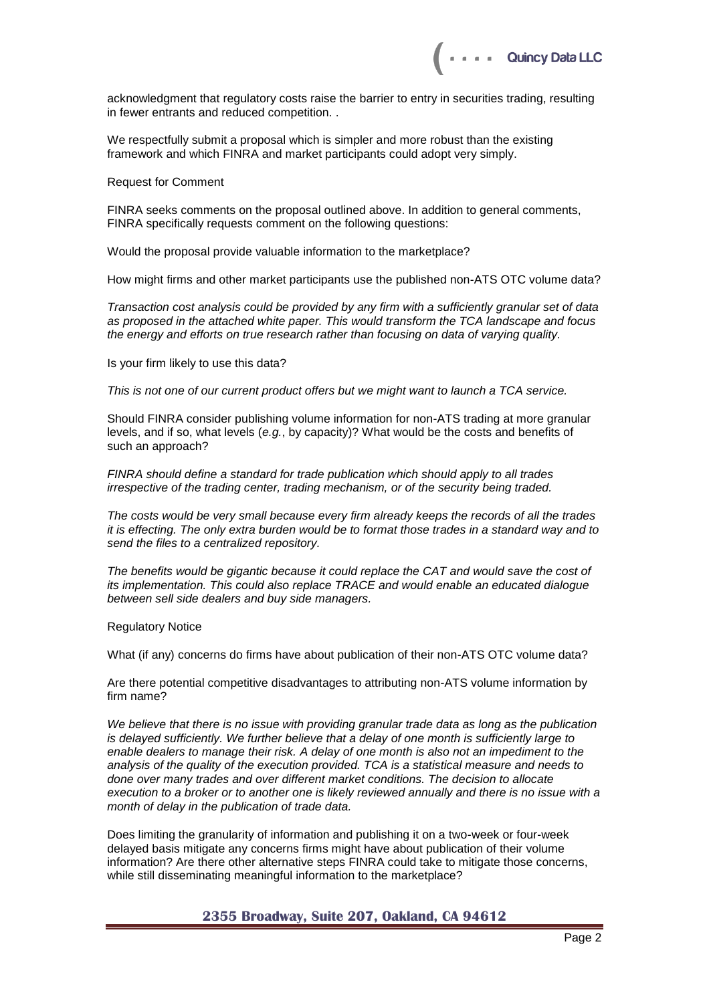acknowledgment that regulatory costs raise the barrier to entry in securities trading, resulting in fewer entrants and reduced competition. .

We respectfully submit a proposal which is simpler and more robust than the existing framework and which FINRA and market participants could adopt very simply.

Request for Comment

FINRA seeks comments on the proposal outlined above. In addition to general comments, FINRA specifically requests comment on the following questions:

Would the proposal provide valuable information to the marketplace?

How might firms and other market participants use the published non-ATS OTC volume data?

*Transaction cost analysis could be provided by any firm with a sufficiently granular set of data as proposed in the attached white paper. This would transform the TCA landscape and focus the energy and efforts on true research rather than focusing on data of varying quality.*

Is your firm likely to use this data?

*This is not one of our current product offers but we might want to launch a TCA service.*

Should FINRA consider publishing volume information for non-ATS trading at more granular levels, and if so, what levels (*e.g.*, by capacity)? What would be the costs and benefits of such an approach?

*FINRA should define a standard for trade publication which should apply to all trades irrespective of the trading center, trading mechanism, or of the security being traded.*

*The costs would be very small because every firm already keeps the records of all the trades it is effecting. The only extra burden would be to format those trades in a standard way and to send the files to a centralized repository.*

The benefits would be gigantic because it could replace the CAT and would save the cost of *its implementation. This could also replace TRACE and would enable an educated dialogue between sell side dealers and buy side managers.*

Regulatory Notice

What (if any) concerns do firms have about publication of their non-ATS OTC volume data?

Are there potential competitive disadvantages to attributing non-ATS volume information by firm name?

*We believe that there is no issue with providing granular trade data as long as the publication is delayed sufficiently. We further believe that a delay of one month is sufficiently large to enable dealers to manage their risk. A delay of one month is also not an impediment to the analysis of the quality of the execution provided. TCA is a statistical measure and needs to done over many trades and over different market conditions. The decision to allocate execution to a broker or to another one is likely reviewed annually and there is no issue with a month of delay in the publication of trade data.*

Does limiting the granularity of information and publishing it on a two-week or four-week delayed basis mitigate any concerns firms might have about publication of their volume information? Are there other alternative steps FINRA could take to mitigate those concerns, while still disseminating meaningful information to the marketplace?

#### **2355 Broadway, Suite 207, Oakland, CA 94612**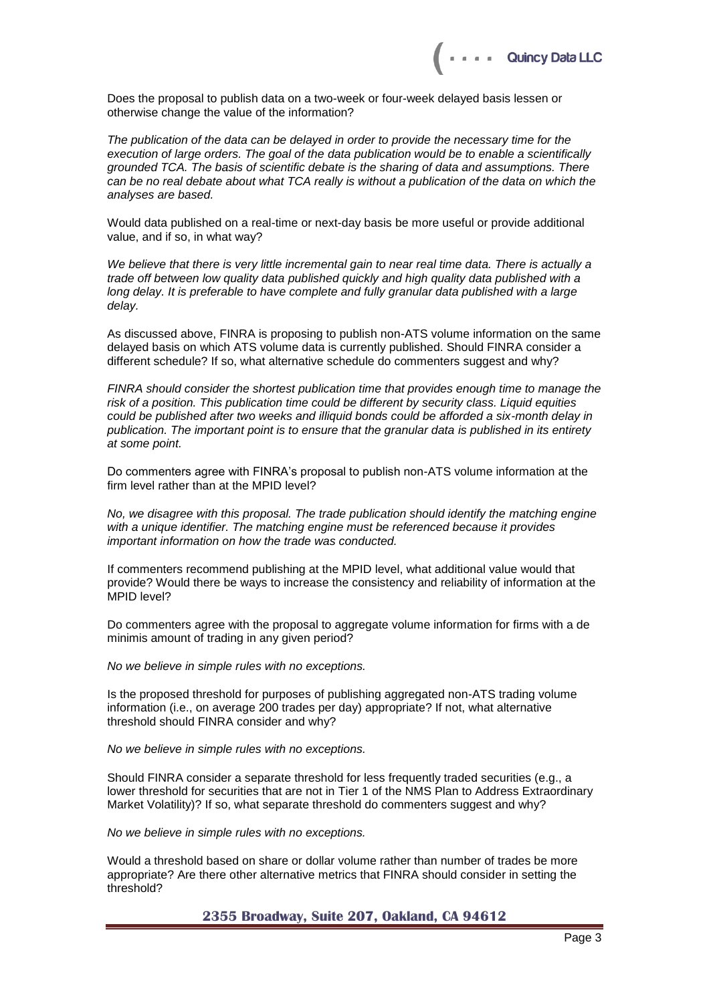Does the proposal to publish data on a two-week or four-week delayed basis lessen or otherwise change the value of the information?

*The publication of the data can be delayed in order to provide the necessary time for the execution of large orders. The goal of the data publication would be to enable a scientifically grounded TCA. The basis of scientific debate is the sharing of data and assumptions. There*  can be no real debate about what TCA really is without a publication of the data on which the *analyses are based.*

Would data published on a real-time or next-day basis be more useful or provide additional value, and if so, in what way?

*We believe that there is very little incremental gain to near real time data. There is actually a trade off between low quality data published quickly and high quality data published with a long delay. It is preferable to have complete and fully granular data published with a large delay.*

As discussed above, FINRA is proposing to publish non-ATS volume information on the same delayed basis on which ATS volume data is currently published. Should FINRA consider a different schedule? If so, what alternative schedule do commenters suggest and why?

*FINRA should consider the shortest publication time that provides enough time to manage the risk of a position. This publication time could be different by security class. Liquid equities could be published after two weeks and illiquid bonds could be afforded a six-month delay in publication. The important point is to ensure that the granular data is published in its entirety at some point.*

Do commenters agree with FINRA's proposal to publish non-ATS volume information at the firm level rather than at the MPID level?

*No, we disagree with this proposal. The trade publication should identify the matching engine with a unique identifier. The matching engine must be referenced because it provides important information on how the trade was conducted.*

If commenters recommend publishing at the MPID level, what additional value would that provide? Would there be ways to increase the consistency and reliability of information at the MPID level?

Do commenters agree with the proposal to aggregate volume information for firms with a de minimis amount of trading in any given period?

*No we believe in simple rules with no exceptions.*

Is the proposed threshold for purposes of publishing aggregated non-ATS trading volume information (i.e., on average 200 trades per day) appropriate? If not, what alternative threshold should FINRA consider and why?

*No we believe in simple rules with no exceptions.*

Should FINRA consider a separate threshold for less frequently traded securities (e.g., a lower threshold for securities that are not in Tier 1 of the NMS Plan to Address Extraordinary Market Volatility)? If so, what separate threshold do commenters suggest and why?

*No we believe in simple rules with no exceptions.*

Would a threshold based on share or dollar volume rather than number of trades be more appropriate? Are there other alternative metrics that FINRA should consider in setting the threshold?

**2355 Broadway, Suite 207, Oakland, CA 94612**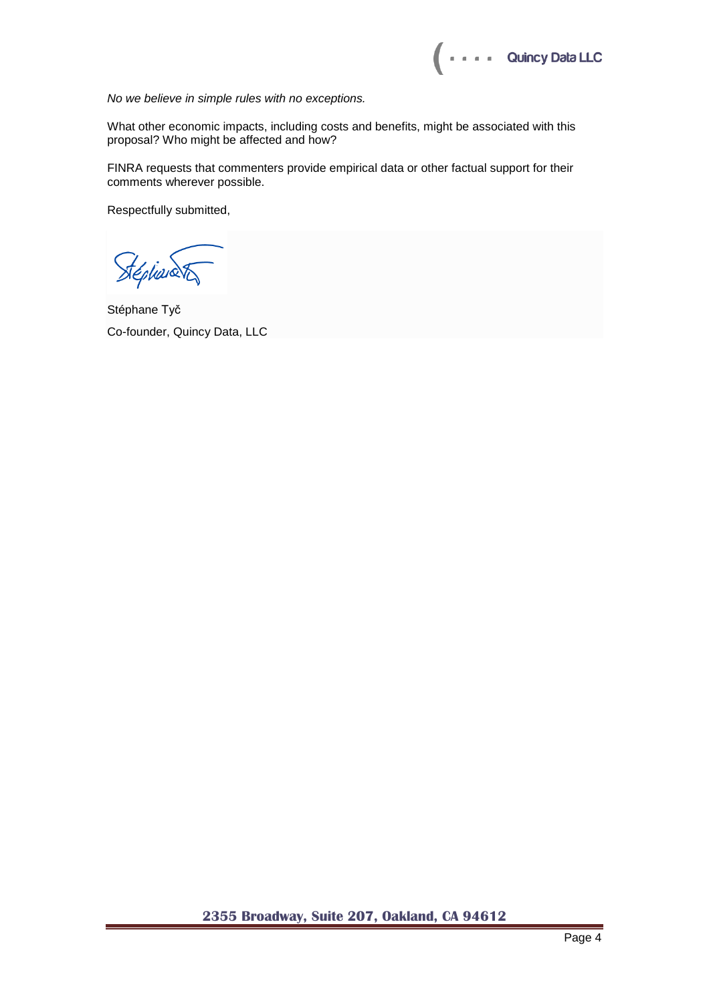*No we believe in simple rules with no exceptions.*

What other economic impacts, including costs and benefits, might be associated with this proposal? Who might be affected and how?

FINRA requests that commenters provide empirical data or other factual support for their comments wherever possible.

Respectfully submitted,

Stephandts

Stéphane Tyč Co-founder, Quincy Data, LLC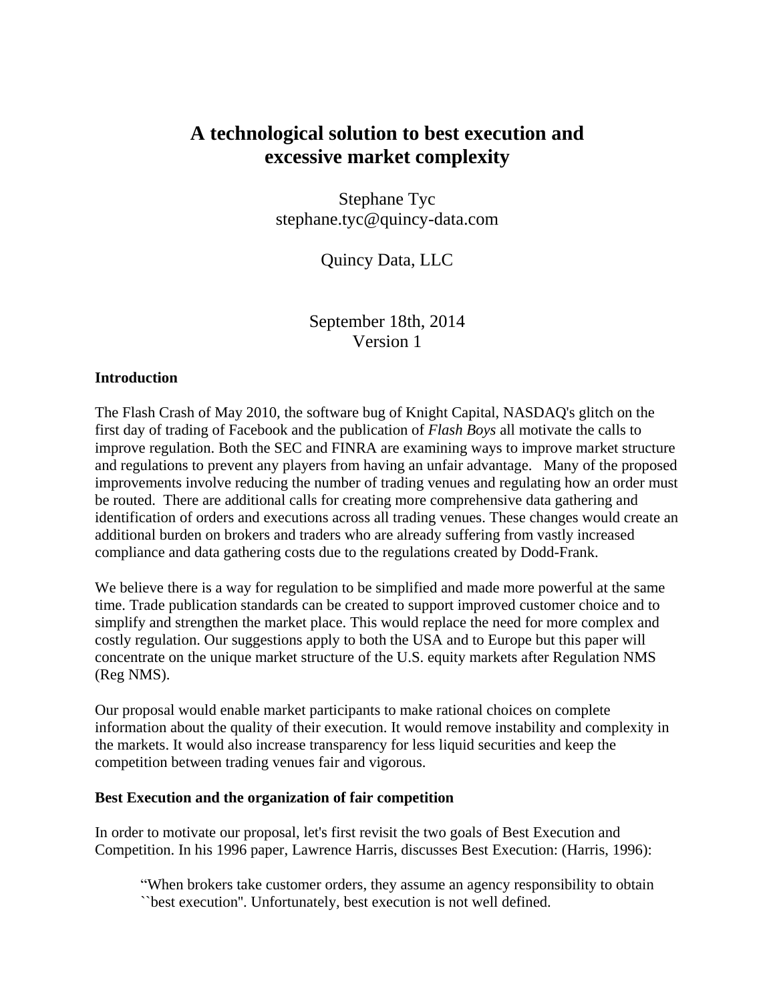# **A technological solution to best execution and excessive market complexity**

Stephane Tyc stephane.tyc@quincy-data.com

Quincy Data, LLC

## September 18th, 2014 Version 1

#### **Introduction**

The Flash Crash of May 2010, the software bug of Knight Capital, NASDAQ's glitch on the first day of trading of Facebook and the publication of *Flash Boys* all motivate the calls to improve regulation. Both the SEC and FINRA are examining ways to improve market structure and regulations to prevent any players from having an unfair advantage. Many of the proposed improvements involve reducing the number of trading venues and regulating how an order must be routed. There are additional calls for creating more comprehensive data gathering and identification of orders and executions across all trading venues. These changes would create an additional burden on brokers and traders who are already suffering from vastly increased compliance and data gathering costs due to the regulations created by Dodd-Frank.

We believe there is a way for regulation to be simplified and made more powerful at the same time. Trade publication standards can be created to support improved customer choice and to simplify and strengthen the market place. This would replace the need for more complex and costly regulation. Our suggestions apply to both the USA and to Europe but this paper will concentrate on the unique market structure of the U.S. equity markets after Regulation NMS (Reg NMS).

Our proposal would enable market participants to make rational choices on complete information about the quality of their execution. It would remove instability and complexity in the markets. It would also increase transparency for less liquid securities and keep the competition between trading venues fair and vigorous.

#### **Best Execution and the organization of fair competition**

In order to motivate our proposal, let's first revisit the two goals of Best Execution and Competition. In his 1996 paper, Lawrence Harris, discusses Best Execution: (Harris, 1996):

"When brokers take customer orders, they assume an agency responsibility to obtain ``best execution''. Unfortunately, best execution is not well defined.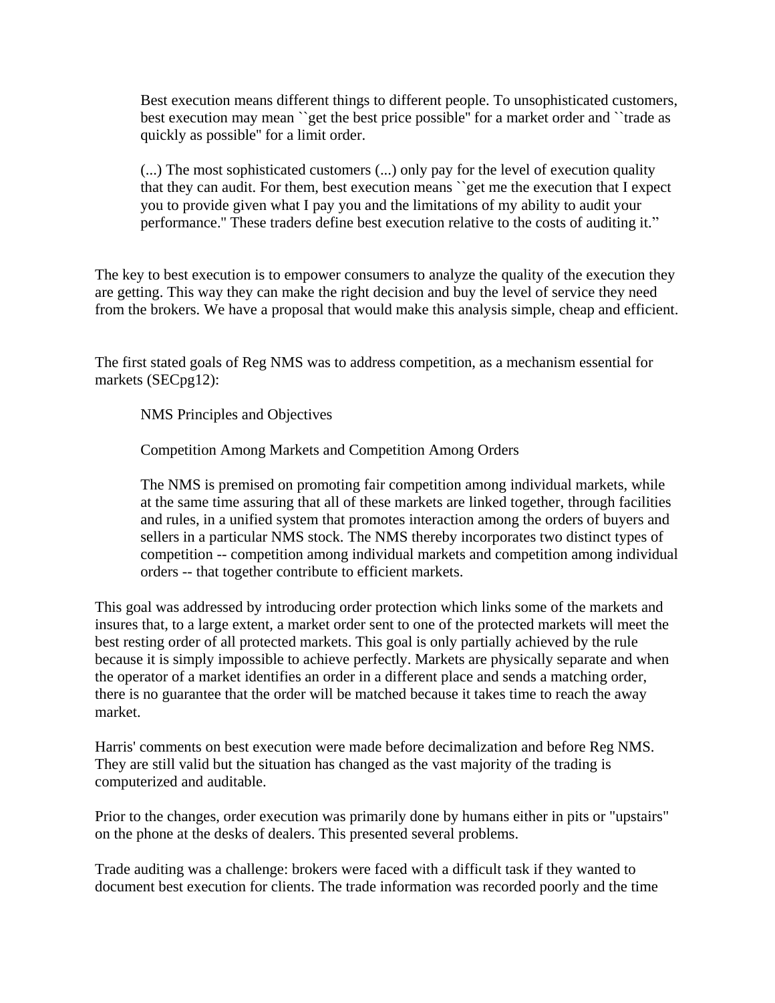Best execution means different things to different people. To unsophisticated customers, best execution may mean ``get the best price possible'' for a market order and ``trade as quickly as possible'' for a limit order.

(...) The most sophisticated customers (...) only pay for the level of execution quality that they can audit. For them, best execution means ``get me the execution that I expect you to provide given what I pay you and the limitations of my ability to audit your performance.'' These traders define best execution relative to the costs of auditing it."

The key to best execution is to empower consumers to analyze the quality of the execution they are getting. This way they can make the right decision and buy the level of service they need from the brokers. We have a proposal that would make this analysis simple, cheap and efficient.

The first stated goals of Reg NMS was to address competition, as a mechanism essential for markets (SECpg12):

NMS Principles and Objectives

Competition Among Markets and Competition Among Orders

The NMS is premised on promoting fair competition among individual markets, while at the same time assuring that all of these markets are linked together, through facilities and rules, in a unified system that promotes interaction among the orders of buyers and sellers in a particular NMS stock. The NMS thereby incorporates two distinct types of competition -- competition among individual markets and competition among individual orders -- that together contribute to efficient markets.

This goal was addressed by introducing order protection which links some of the markets and insures that, to a large extent, a market order sent to one of the protected markets will meet the best resting order of all protected markets. This goal is only partially achieved by the rule because it is simply impossible to achieve perfectly. Markets are physically separate and when the operator of a market identifies an order in a different place and sends a matching order, there is no guarantee that the order will be matched because it takes time to reach the away market.

Harris' comments on best execution were made before decimalization and before Reg NMS. They are still valid but the situation has changed as the vast majority of the trading is computerized and auditable.

Prior to the changes, order execution was primarily done by humans either in pits or "upstairs" on the phone at the desks of dealers. This presented several problems.

Trade auditing was a challenge: brokers were faced with a difficult task if they wanted to document best execution for clients. The trade information was recorded poorly and the time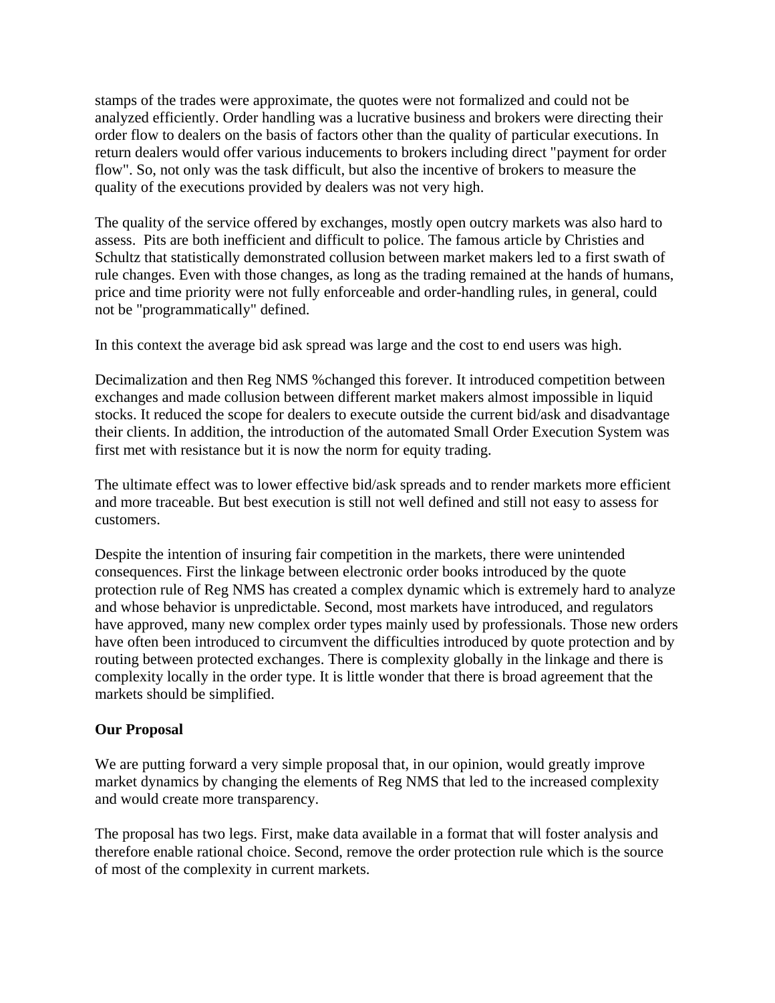stamps of the trades were approximate, the quotes were not formalized and could not be analyzed efficiently. Order handling was a lucrative business and brokers were directing their order flow to dealers on the basis of factors other than the quality of particular executions. In return dealers would offer various inducements to brokers including direct "payment for order flow". So, not only was the task difficult, but also the incentive of brokers to measure the quality of the executions provided by dealers was not very high.

The quality of the service offered by exchanges, mostly open outcry markets was also hard to assess. Pits are both inefficient and difficult to police. The famous article by Christies and Schultz that statistically demonstrated collusion between market makers led to a first swath of rule changes. Even with those changes, as long as the trading remained at the hands of humans, price and time priority were not fully enforceable and order-handling rules, in general, could not be "programmatically" defined.

In this context the average bid ask spread was large and the cost to end users was high.

Decimalization and then Reg NMS %changed this forever. It introduced competition between exchanges and made collusion between different market makers almost impossible in liquid stocks. It reduced the scope for dealers to execute outside the current bid/ask and disadvantage their clients. In addition, the introduction of the automated Small Order Execution System was first met with resistance but it is now the norm for equity trading.

The ultimate effect was to lower effective bid/ask spreads and to render markets more efficient and more traceable. But best execution is still not well defined and still not easy to assess for customers.

Despite the intention of insuring fair competition in the markets, there were unintended consequences. First the linkage between electronic order books introduced by the quote protection rule of Reg NMS has created a complex dynamic which is extremely hard to analyze and whose behavior is unpredictable. Second, most markets have introduced, and regulators have approved, many new complex order types mainly used by professionals. Those new orders have often been introduced to circumvent the difficulties introduced by quote protection and by routing between protected exchanges. There is complexity globally in the linkage and there is complexity locally in the order type. It is little wonder that there is broad agreement that the markets should be simplified.

### **Our Proposal**

We are putting forward a very simple proposal that, in our opinion, would greatly improve market dynamics by changing the elements of Reg NMS that led to the increased complexity and would create more transparency.

The proposal has two legs. First, make data available in a format that will foster analysis and therefore enable rational choice. Second, remove the order protection rule which is the source of most of the complexity in current markets.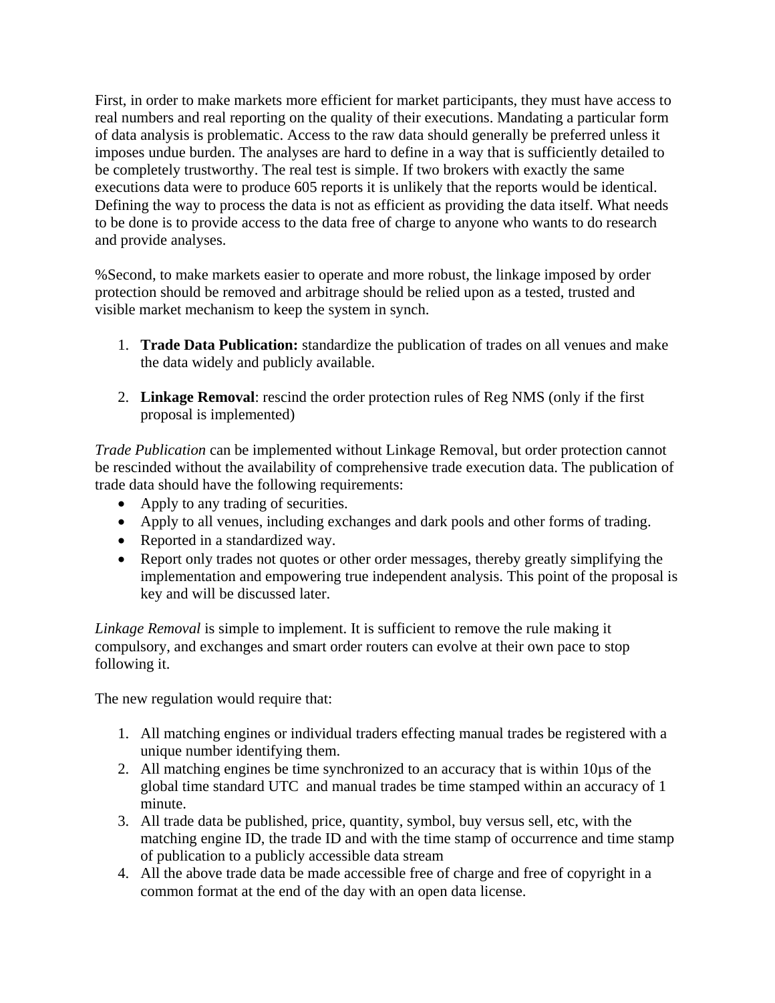First, in order to make markets more efficient for market participants, they must have access to real numbers and real reporting on the quality of their executions. Mandating a particular form of data analysis is problematic. Access to the raw data should generally be preferred unless it imposes undue burden. The analyses are hard to define in a way that is sufficiently detailed to be completely trustworthy. The real test is simple. If two brokers with exactly the same executions data were to produce 605 reports it is unlikely that the reports would be identical. Defining the way to process the data is not as efficient as providing the data itself. What needs to be done is to provide access to the data free of charge to anyone who wants to do research and provide analyses.

%Second, to make markets easier to operate and more robust, the linkage imposed by order protection should be removed and arbitrage should be relied upon as a tested, trusted and visible market mechanism to keep the system in synch.

- 1. **Trade Data Publication:** standardize the publication of trades on all venues and make the data widely and publicly available.
- 2. **Linkage Removal**: rescind the order protection rules of Reg NMS (only if the first proposal is implemented)

*Trade Publication* can be implemented without Linkage Removal, but order protection cannot be rescinded without the availability of comprehensive trade execution data. The publication of trade data should have the following requirements:

- Apply to any trading of securities.
- Apply to all venues, including exchanges and dark pools and other forms of trading.
- Reported in a standardized way.
- Report only trades not quotes or other order messages, thereby greatly simplifying the implementation and empowering true independent analysis. This point of the proposal is key and will be discussed later.

*Linkage Removal* is simple to implement. It is sufficient to remove the rule making it compulsory, and exchanges and smart order routers can evolve at their own pace to stop following it.

The new regulation would require that:

- 1. All matching engines or individual traders effecting manual trades be registered with a unique number identifying them.
- 2. All matching engines be time synchronized to an accuracy that is within 10  $\mu$ s of the global time standard UTC and manual trades be time stamped within an accuracy of 1 minute.
- 3. All trade data be published, price, quantity, symbol, buy versus sell, etc, with the matching engine ID, the trade ID and with the time stamp of occurrence and time stamp of publication to a publicly accessible data stream
- 4. All the above trade data be made accessible free of charge and free of copyright in a common format at the end of the day with an open data license.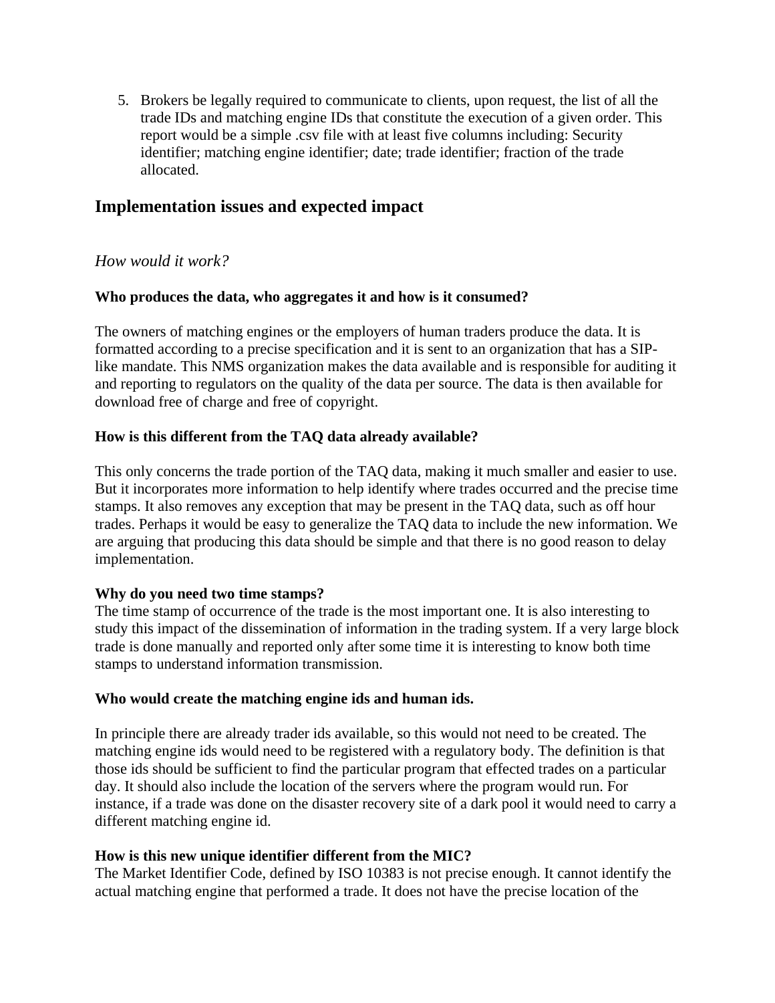5. Brokers be legally required to communicate to clients, upon request, the list of all the trade IDs and matching engine IDs that constitute the execution of a given order. This report would be a simple .csv file with at least five columns including: Security identifier; matching engine identifier; date; trade identifier; fraction of the trade allocated.

## **Implementation issues and expected impact**

### *How would it work?*

### **Who produces the data, who aggregates it and how is it consumed?**

The owners of matching engines or the employers of human traders produce the data. It is formatted according to a precise specification and it is sent to an organization that has a SIPlike mandate. This NMS organization makes the data available and is responsible for auditing it and reporting to regulators on the quality of the data per source. The data is then available for download free of charge and free of copyright.

### **How is this different from the TAQ data already available?**

This only concerns the trade portion of the TAQ data, making it much smaller and easier to use. But it incorporates more information to help identify where trades occurred and the precise time stamps. It also removes any exception that may be present in the TAQ data, such as off hour trades. Perhaps it would be easy to generalize the TAQ data to include the new information. We are arguing that producing this data should be simple and that there is no good reason to delay implementation.

### **Why do you need two time stamps?**

The time stamp of occurrence of the trade is the most important one. It is also interesting to study this impact of the dissemination of information in the trading system. If a very large block trade is done manually and reported only after some time it is interesting to know both time stamps to understand information transmission.

### **Who would create the matching engine ids and human ids.**

In principle there are already trader ids available, so this would not need to be created. The matching engine ids would need to be registered with a regulatory body. The definition is that those ids should be sufficient to find the particular program that effected trades on a particular day. It should also include the location of the servers where the program would run. For instance, if a trade was done on the disaster recovery site of a dark pool it would need to carry a different matching engine id.

### **How is this new unique identifier different from the MIC?**

The Market Identifier Code, defined by ISO 10383 is not precise enough. It cannot identify the actual matching engine that performed a trade. It does not have the precise location of the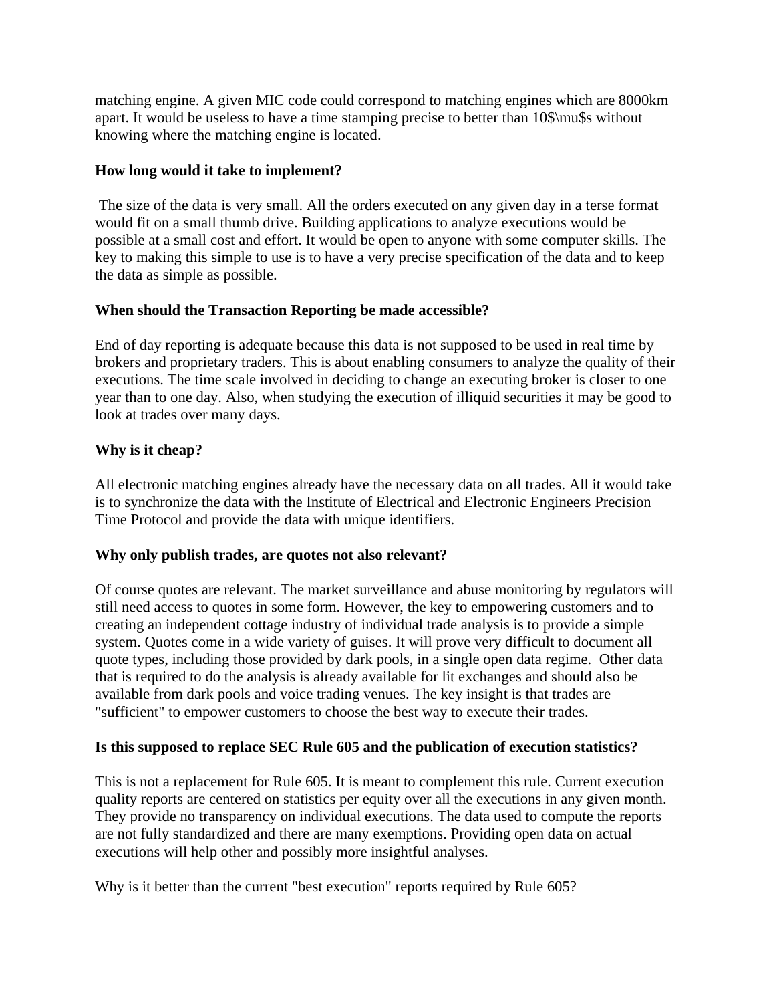matching engine. A given MIC code could correspond to matching engines which are 8000km apart. It would be useless to have a time stamping precise to better than 10\$\mu\$s without knowing where the matching engine is located.

#### **How long would it take to implement?**

The size of the data is very small. All the orders executed on any given day in a terse format would fit on a small thumb drive. Building applications to analyze executions would be possible at a small cost and effort. It would be open to anyone with some computer skills. The key to making this simple to use is to have a very precise specification of the data and to keep the data as simple as possible.

### **When should the Transaction Reporting be made accessible?**

End of day reporting is adequate because this data is not supposed to be used in real time by brokers and proprietary traders. This is about enabling consumers to analyze the quality of their executions. The time scale involved in deciding to change an executing broker is closer to one year than to one day. Also, when studying the execution of illiquid securities it may be good to look at trades over many days.

#### **Why is it cheap?**

All electronic matching engines already have the necessary data on all trades. All it would take is to synchronize the data with the Institute of Electrical and Electronic Engineers Precision Time Protocol and provide the data with unique identifiers.

#### **Why only publish trades, are quotes not also relevant?**

Of course quotes are relevant. The market surveillance and abuse monitoring by regulators will still need access to quotes in some form. However, the key to empowering customers and to creating an independent cottage industry of individual trade analysis is to provide a simple system. Quotes come in a wide variety of guises. It will prove very difficult to document all quote types, including those provided by dark pools, in a single open data regime. Other data that is required to do the analysis is already available for lit exchanges and should also be available from dark pools and voice trading venues. The key insight is that trades are "sufficient" to empower customers to choose the best way to execute their trades.

### **Is this supposed to replace SEC Rule 605 and the publication of execution statistics?**

This is not a replacement for Rule 605. It is meant to complement this rule. Current execution quality reports are centered on statistics per equity over all the executions in any given month. They provide no transparency on individual executions. The data used to compute the reports are not fully standardized and there are many exemptions. Providing open data on actual executions will help other and possibly more insightful analyses.

Why is it better than the current "best execution" reports required by Rule 605?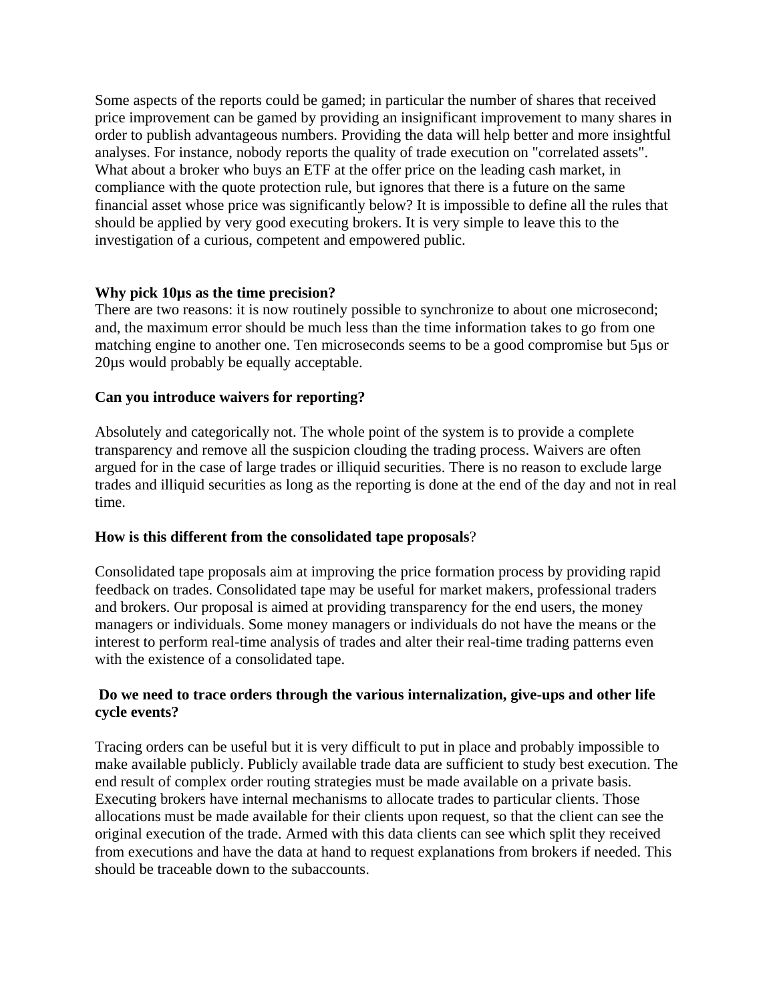Some aspects of the reports could be gamed; in particular the number of shares that received price improvement can be gamed by providing an insignificant improvement to many shares in order to publish advantageous numbers. Providing the data will help better and more insightful analyses. For instance, nobody reports the quality of trade execution on "correlated assets". What about a broker who buys an ETF at the offer price on the leading cash market, in compliance with the quote protection rule, but ignores that there is a future on the same financial asset whose price was significantly below? It is impossible to define all the rules that should be applied by very good executing brokers. It is very simple to leave this to the investigation of a curious, competent and empowered public.

#### **Why pick 10µs as the time precision?**

There are two reasons: it is now routinely possible to synchronize to about one microsecond; and, the maximum error should be much less than the time information takes to go from one matching engine to another one. Ten microseconds seems to be a good compromise but 5µs or 20µs would probably be equally acceptable.

#### **Can you introduce waivers for reporting?**

Absolutely and categorically not. The whole point of the system is to provide a complete transparency and remove all the suspicion clouding the trading process. Waivers are often argued for in the case of large trades or illiquid securities. There is no reason to exclude large trades and illiquid securities as long as the reporting is done at the end of the day and not in real time.

#### **How is this different from the consolidated tape proposals**?

Consolidated tape proposals aim at improving the price formation process by providing rapid feedback on trades. Consolidated tape may be useful for market makers, professional traders and brokers. Our proposal is aimed at providing transparency for the end users, the money managers or individuals. Some money managers or individuals do not have the means or the interest to perform real-time analysis of trades and alter their real-time trading patterns even with the existence of a consolidated tape.

#### **Do we need to trace orders through the various internalization, give-ups and other life cycle events?**

Tracing orders can be useful but it is very difficult to put in place and probably impossible to make available publicly. Publicly available trade data are sufficient to study best execution. The end result of complex order routing strategies must be made available on a private basis. Executing brokers have internal mechanisms to allocate trades to particular clients. Those allocations must be made available for their clients upon request, so that the client can see the original execution of the trade. Armed with this data clients can see which split they received from executions and have the data at hand to request explanations from brokers if needed. This should be traceable down to the subaccounts.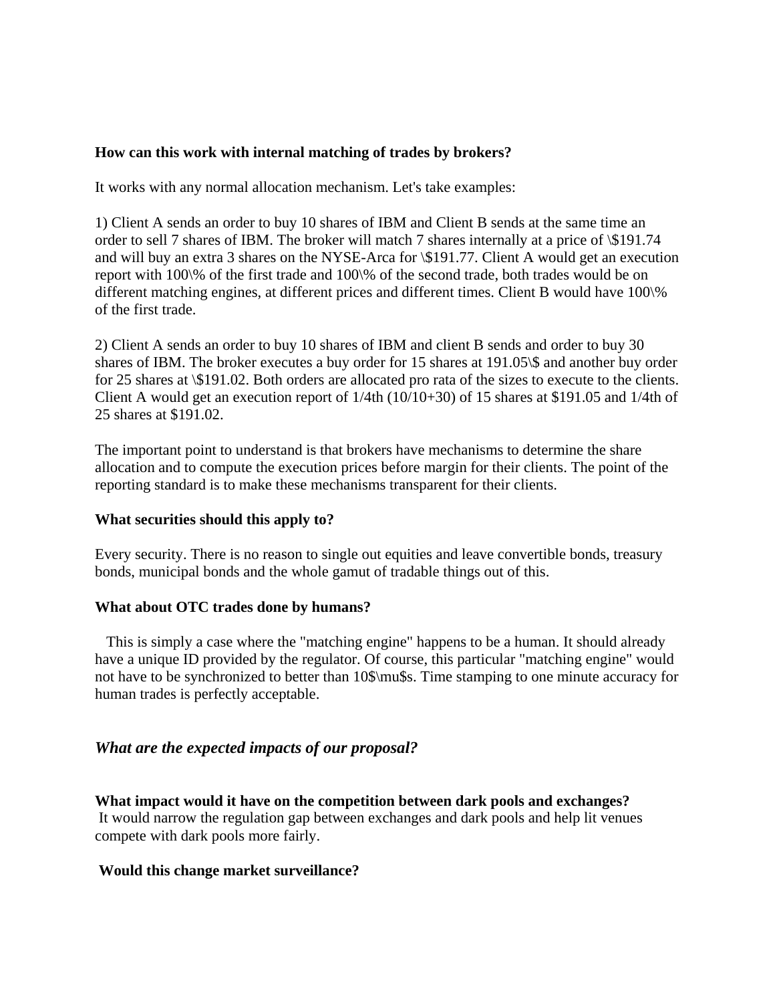#### **How can this work with internal matching of trades by brokers?**

It works with any normal allocation mechanism. Let's take examples:

1) Client A sends an order to buy 10 shares of IBM and Client B sends at the same time an order to sell 7 shares of IBM. The broker will match 7 shares internally at a price of \\$191.74 and will buy an extra 3 shares on the NYSE-Arca for \\$191.77. Client A would get an execution report with 100\% of the first trade and 100\% of the second trade, both trades would be on different matching engines, at different prices and different times. Client B would have 100\% of the first trade.

2) Client A sends an order to buy 10 shares of IBM and client B sends and order to buy 30 shares of IBM. The broker executes a buy order for 15 shares at 191.05\\$ and another buy order for 25 shares at \\$191.02. Both orders are allocated pro rata of the sizes to execute to the clients. Client A would get an execution report of 1/4th (10/10+30) of 15 shares at \$191.05 and 1/4th of 25 shares at \$191.02.

The important point to understand is that brokers have mechanisms to determine the share allocation and to compute the execution prices before margin for their clients. The point of the reporting standard is to make these mechanisms transparent for their clients.

#### **What securities should this apply to?**

Every security. There is no reason to single out equities and leave convertible bonds, treasury bonds, municipal bonds and the whole gamut of tradable things out of this.

#### **What about OTC trades done by humans?**

 This is simply a case where the "matching engine" happens to be a human. It should already have a unique ID provided by the regulator. Of course, this particular "matching engine" would not have to be synchronized to better than 10\$\mu\$s. Time stamping to one minute accuracy for human trades is perfectly acceptable.

### *What are the expected impacts of our proposal?*

**What impact would it have on the competition between dark pools and exchanges?**

It would narrow the regulation gap between exchanges and dark pools and help lit venues compete with dark pools more fairly.

### **Would this change market surveillance?**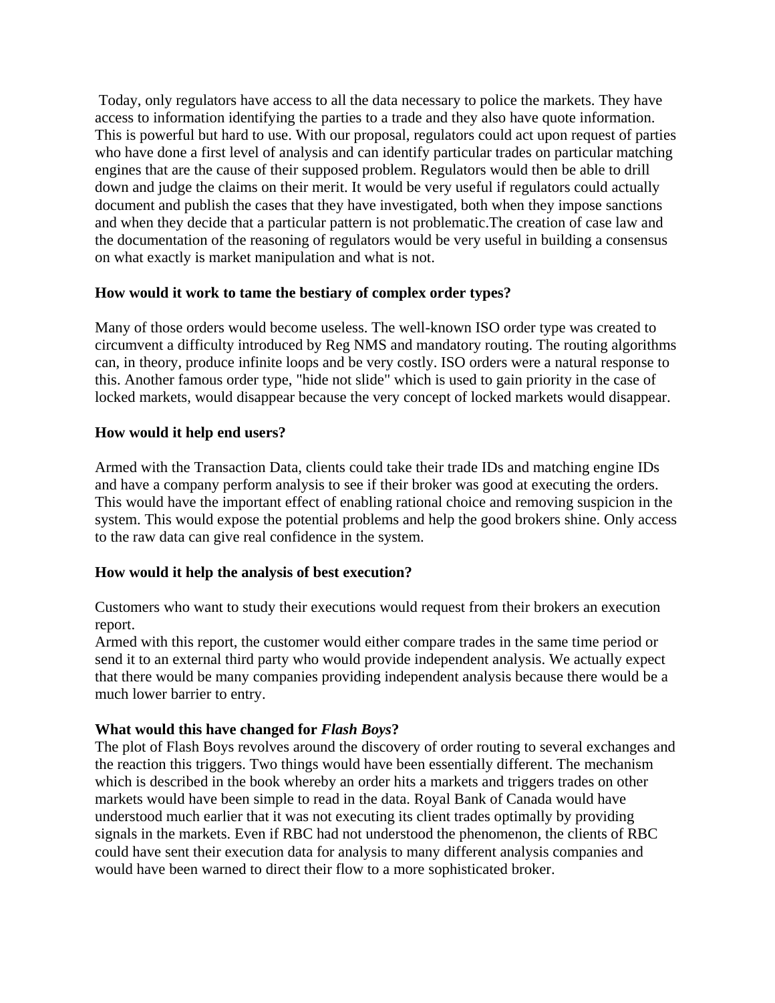Today, only regulators have access to all the data necessary to police the markets. They have access to information identifying the parties to a trade and they also have quote information. This is powerful but hard to use. With our proposal, regulators could act upon request of parties who have done a first level of analysis and can identify particular trades on particular matching engines that are the cause of their supposed problem. Regulators would then be able to drill down and judge the claims on their merit. It would be very useful if regulators could actually document and publish the cases that they have investigated, both when they impose sanctions and when they decide that a particular pattern is not problematic.The creation of case law and the documentation of the reasoning of regulators would be very useful in building a consensus on what exactly is market manipulation and what is not.

#### **How would it work to tame the bestiary of complex order types?**

Many of those orders would become useless. The well-known ISO order type was created to circumvent a difficulty introduced by Reg NMS and mandatory routing. The routing algorithms can, in theory, produce infinite loops and be very costly. ISO orders were a natural response to this. Another famous order type, "hide not slide" which is used to gain priority in the case of locked markets, would disappear because the very concept of locked markets would disappear.

### **How would it help end users?**

Armed with the Transaction Data, clients could take their trade IDs and matching engine IDs and have a company perform analysis to see if their broker was good at executing the orders. This would have the important effect of enabling rational choice and removing suspicion in the system. This would expose the potential problems and help the good brokers shine. Only access to the raw data can give real confidence in the system.

### **How would it help the analysis of best execution?**

Customers who want to study their executions would request from their brokers an execution report.

Armed with this report, the customer would either compare trades in the same time period or send it to an external third party who would provide independent analysis. We actually expect that there would be many companies providing independent analysis because there would be a much lower barrier to entry.

### **What would this have changed for** *Flash Boys***?**

The plot of Flash Boys revolves around the discovery of order routing to several exchanges and the reaction this triggers. Two things would have been essentially different. The mechanism which is described in the book whereby an order hits a markets and triggers trades on other markets would have been simple to read in the data. Royal Bank of Canada would have understood much earlier that it was not executing its client trades optimally by providing signals in the markets. Even if RBC had not understood the phenomenon, the clients of RBC could have sent their execution data for analysis to many different analysis companies and would have been warned to direct their flow to a more sophisticated broker.